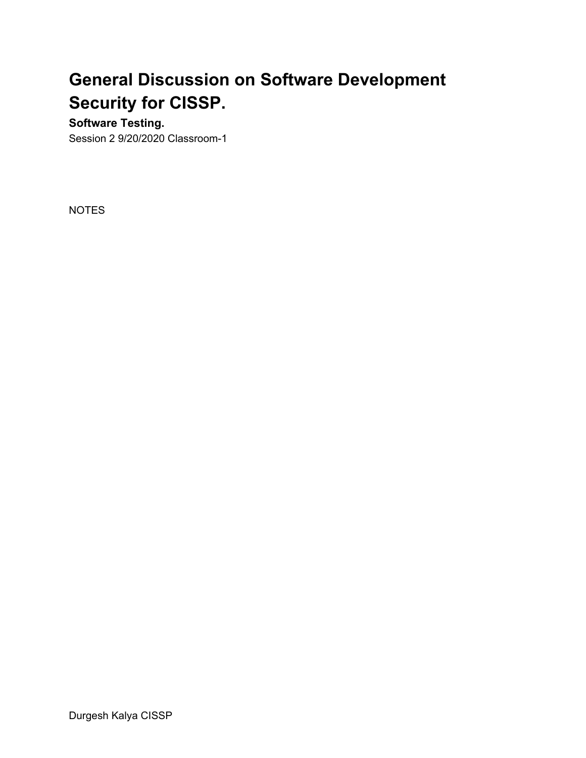# **General Discussion on Software Development Security for CISSP.**

# **Software Testing.**

Session 2 9/20/2020 Classroom-1

NOTES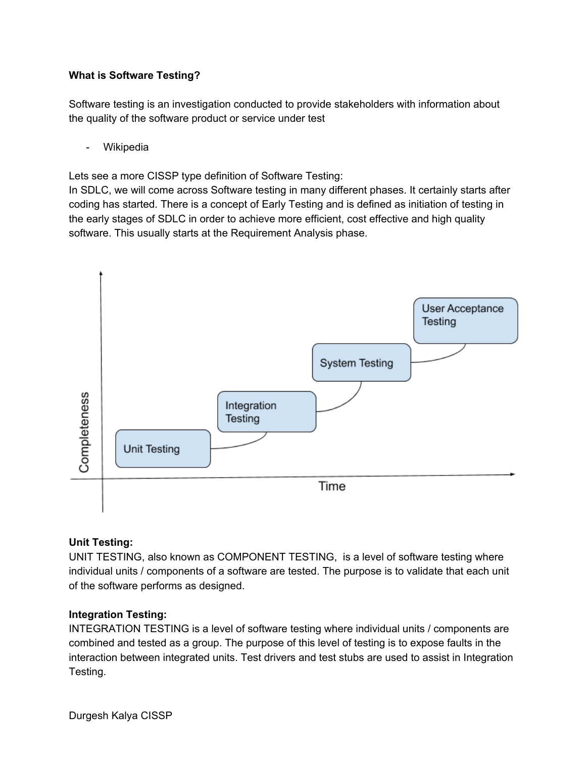# **What is Software Testing?**

Software testing is an investigation conducted to provide stakeholders with information about the quality of the software product or service under test

- Wikipedia

Lets see a more CISSP type definition of Software Testing:

In SDLC, we will come across Software testing in many different phases. It certainly starts after coding has started. There is a concept of Early Testing and is defined as initiation of testing in the early stages of SDLC in order to achieve more efficient, cost effective and high quality software. This usually starts at the Requirement Analysis phase.



# **Unit Testing:**

UNIT TESTING, also known as COMPONENT TESTING, is a level of software testing where individual units / components of a software are tested. The purpose is to validate that each unit of the software performs as designed.

# **Integration Testing:**

INTEGRATION TESTING is a level of software testing where individual units / components are combined and tested as a group. The purpose of this level of testing is to expose faults in the interaction between integrated units. Test drivers and test stubs are used to assist in Integration Testing.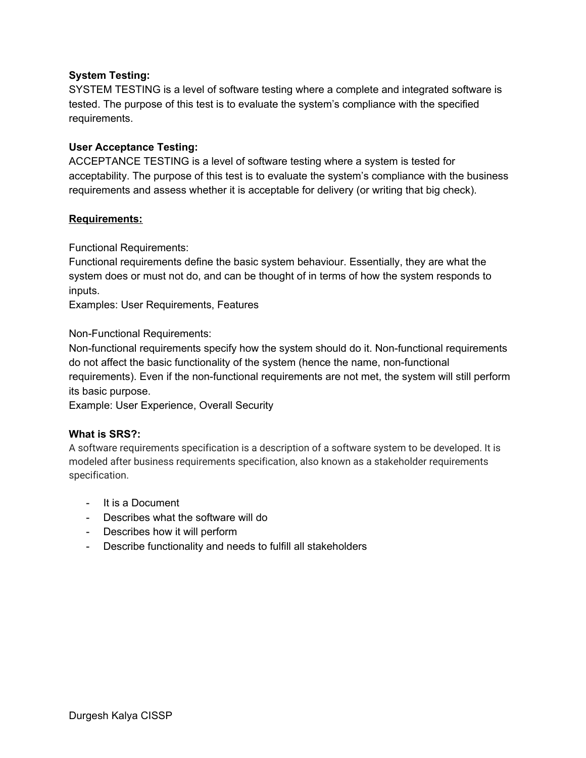#### **System Testing:**

SYSTEM TESTING is a level of software testing where a complete and integrated software is tested. The purpose of this test is to evaluate the system's compliance with the specified requirements.

#### **User Acceptance Testing:**

ACCEPTANCE TESTING is a level of software testing where a system is tested for acceptability. The purpose of this test is to evaluate the system's compliance with the business requirements and assess whether it is acceptable for delivery (or writing that big check).

#### **Requirements:**

Functional Requirements:

Functional requirements define the basic system behaviour. Essentially, they are what the system does or must not do, and can be thought of in terms of how the system responds to inputs.

Examples: User Requirements, Features

Non-Functional Requirements:

Non-functional requirements specify how the system should do it. Non-functional requirements do not affect the basic functionality of the system (hence the name, non-functional requirements). Even if the non-functional requirements are not met, the system will still perform its basic purpose.

Example: User Experience, Overall Security

#### **What is SRS?:**

A software requirements specification is a description of a software system to be developed. It is modeled after business requirements specification, also known as a stakeholder requirements specification.

- It is a Document
- Describes what the software will do
- Describes how it will perform
- Describe functionality and needs to fulfill all stakeholders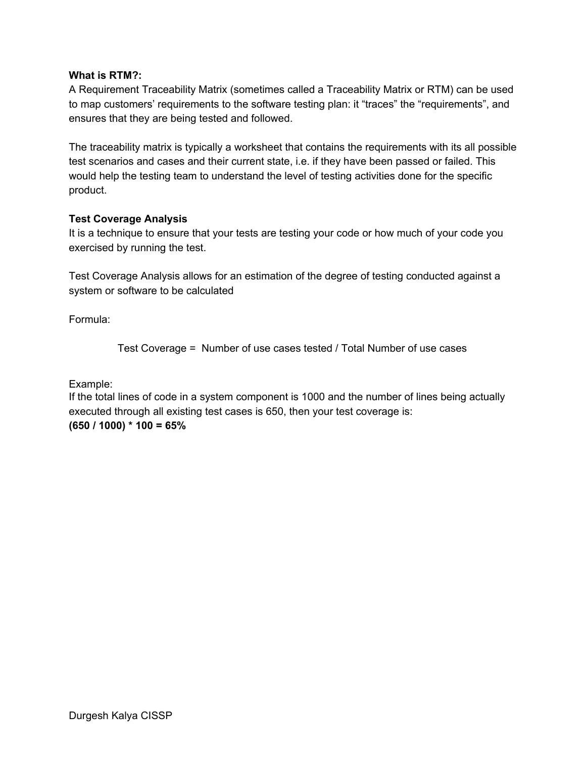#### **What is RTM?:**

A Requirement Traceability Matrix (sometimes called a Traceability Matrix or RTM) can be used to map customers' requirements to the software testing plan: it "traces" the "requirements", and ensures that they are being tested and followed.

The traceability matrix is typically a worksheet that contains the requirements with its all possible test scenarios and cases and their current state, i.e. if they have been passed or failed. This would help the testing team to understand the level of testing activities done for the specific product.

#### **Test Coverage Analysis**

It is a technique to ensure that your tests are testing your code or how much of your code you exercised by running the test.

Test Coverage Analysis allows for an estimation of the degree of testing conducted against a system or software to be calculated

Formula:

Test Coverage = Number of use cases tested / Total Number of use cases

Example:

If the total lines of code in a system component is 1000 and the number of lines being actually executed through all existing test cases is 650, then your test coverage is: **(650 / 1000) \* 100 = 65%**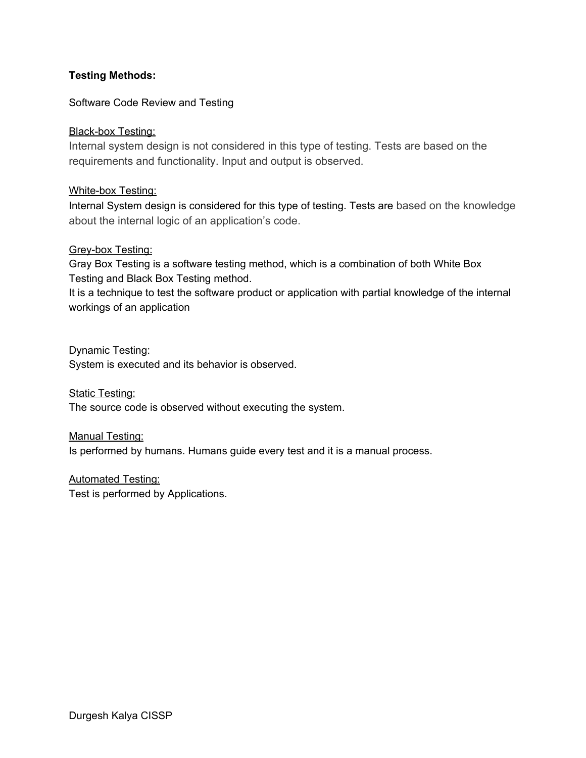## **Testing Methods:**

#### Software Code Review and Testing

#### Black-box Testing:

Internal system design is not considered in this type of testing. Tests are based on the requirements and functionality. Input and output is observed.

#### White-box Testing:

Internal System design is considered for this type of testing. Tests are based on the knowledge about the internal logic of an application's code.

#### Grey-box Testing:

Gray Box Testing is a software testing method, which is a combination of both White Box Testing and Black Box Testing method.

It is a technique to test the software product or application with partial knowledge of the internal workings of an application

Dynamic Testing: System is executed and its behavior is observed.

**Static Testing:** The source code is observed without executing the system.

Manual Testing: Is performed by humans. Humans guide every test and it is a manual process.

Automated Testing: Test is performed by Applications.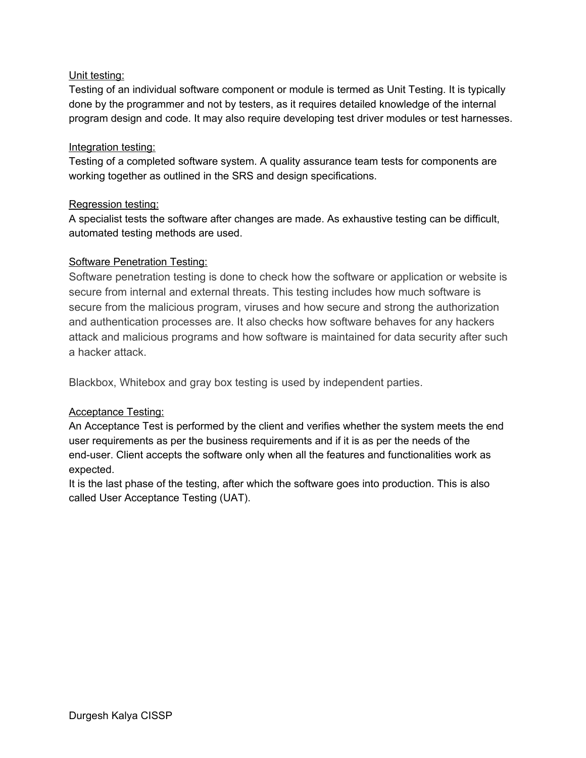## Unit testing:

Testing of an individual software component or module is termed as Unit Testing. It is typically done by the programmer and not by testers, as it requires detailed knowledge of the internal program design and code. It may also require developing test driver modules or test harnesses.

#### Integration testing:

Testing of a completed software system. A quality assurance team tests for components are working together as outlined in the SRS and design specifications.

#### Regression testing:

A specialist tests the software after changes are made. As exhaustive testing can be difficult, automated testing methods are used.

#### Software Penetration Testing:

Software penetration testing is done to check how the software or application or website is secure from internal and external threats. This testing includes how much software is secure from the malicious program, viruses and how secure and strong the authorization and authentication processes are. It also checks how software behaves for any hackers attack and malicious programs and how software is maintained for data security after such a hacker attack.

Blackbox, Whitebox and gray box testing is used by independent parties.

# Acceptance Testing:

An Acceptance Test is performed by the client and verifies whether the system meets the end user requirements as per the business requirements and if it is as per the needs of the end-user. Client accepts the software only when all the features and functionalities work as expected.

It is the last phase of the testing, after which the software goes into production. This is also called User Acceptance Testing (UAT).